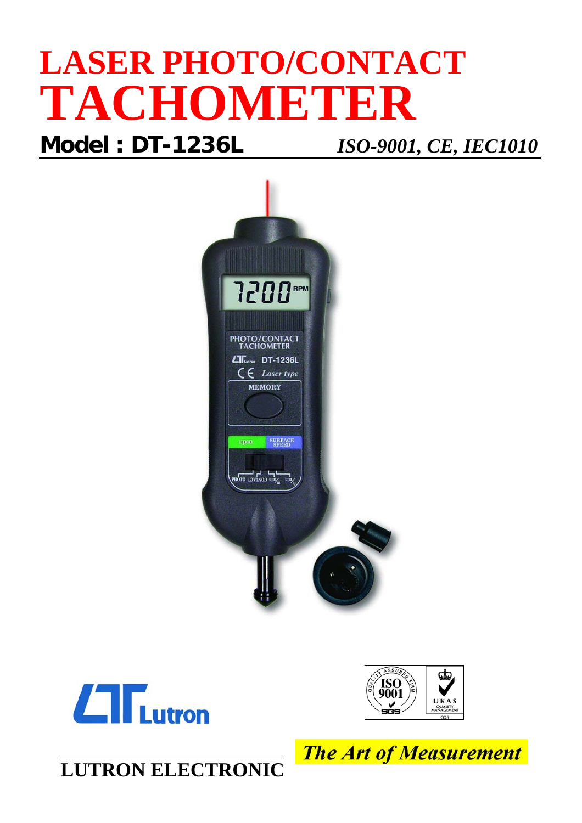## **LASER PHOTO/CONTACT TACHOMETER**

**Model : DT-1236L** *ISO-9001, CE, IEC1010*







**LUTRON ELECTRONIC**

**The Art of Measurement**